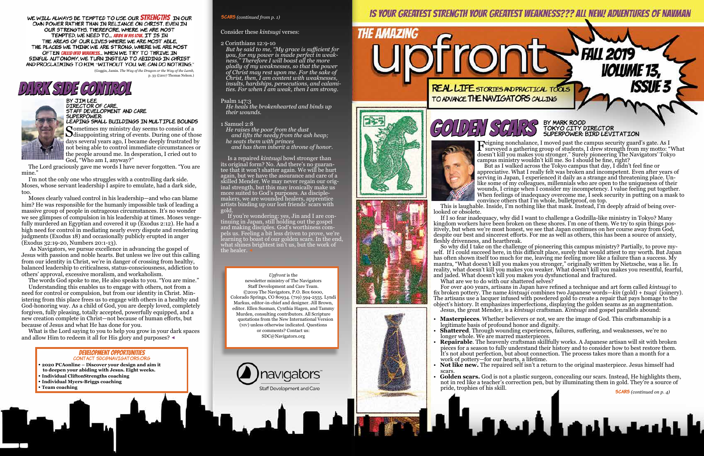#### **scars** *(continued from p. 1)*

#### development opportunities Contact SDC@Navigators.org

- **2020 PCAonline Discover your design and aim it**
- **to deepen your abiding with Jesus. Eight weeks.**
- **Individual CliftonStrengths coaching**
- **Individual Myers-Briggs coaching**
- **Team coaching**

Feigning nonchalance, I moved past the campus security guard's gate. As I<br>surveyed a gathering group of students, I drew strength from my motto: "What<br>decay't kill you makes you strength" Suraly piercessing The Nevigators' doesn't kill you makes you stronger." Surely pioneering The Navigators' Tokyo campus ministry wouldn't kill me. So I should be fine, right?

 So why did I take on the challenge of pioneering this campus ministry? Partially, to prove myself. If I could succeed here, in this difficult place, surely that would attest to my worth. But Japan has often shown itself too much for me, leaving me feeling more like a failure than a success. My mantra, "What doesn't kill you makes you stronger," originally written by Nietzsche, was a lie. In reality, what doesn't kill you makes you weaker. What doesn't kill you makes you resentful, fearful, and jaded. What doesn't kill you makes you dysfunctional and fractured. What are we to do with our shattered selves?

 But as I walked across the Tokyo campus that day, I didn't feel fine or appreciative. What I really felt was broken and incompetent. Even after years of serving in Japan, I experienced it daily as a strange and threatening place. Unlike some of my colleagues, millennials who are open to the uniqueness of their wounds, I cringe when I consider my incompetency. I value feeling put together. When feelings of inadequacy overcome me, I seek security in putting on a mask to convince others that I'm whole, bulletproof, on top.

 This is laughable. Inside, I'm nothing like that mask. Instead, I'm deeply afraid of being overlooked or obsolete.

 If I so fear inadequacy, why did I want to challenge a Godzilla-like ministry in Tokyo? Many kingdom workers have been broken on these shores. I'm one of them. We try to spin things positively, but when we're most honest, we see that Japan continues on her course away from God, despite our best and sincerest efforts. For me as well as others, this has been a source of anxiety, fleshly drivenness, and heartbreak.

 If you're wondering: yes, Jin and I are con- tinuing in Japan, still holding out the gospel and making disciples. God's worthiness compels us. Feeling a bit less driven to prove, we're learning to boast of our golden scars. In the end, what shines brightest isn't us, but the work of the healer.

> For over 400 years, artisans in Japan have refined a technique and art form called *kintsugi* to fix broken pottery. The name *kintsugi* combines two Japanese words—*kin* (gold) + *tsugi* (joinery). The artisans use a lacquer infused with powdered gold to create a repair that pays homage to the object's history. It emphasizes imperfections, displaying the golden seams as an augmentation. Jesus, the great Mender, is a *kintsugi* craftsman. *Kintsugi* and gospel parallels abound:

Sometimes my ministry day seems to consist of a<br>disappointing string of events. During one of those days several years ago, I became deeply frustrated by not being able to control immediate circumstances or the people around me. In desperation, I cried out to God, "Who am I, anyway?"

• **Masterpieces**. Whether believers or not, we are the image of God. This craftsmanship is a

**Shattered**. Through wounding experiences, failures, suffering, and weaknesses, we're no

• **Repairable**. The heavenly craftsman skillfully works. A Japanese artisan will sit with broken pieces for a season to fully understand their history and to consider how to best restore them. It's not about perfection, but about connection. The process takes more than a month for a work of pottery—for our hearts, a lifetime.

- legitimate basis of profound honor and dignity.
- longer whole. We are marred masterpieces.
- scars.
- pride, trophies of his skill.

۸A.



**FALL 2019** 

**VOLUME 13,<br>ISSUE:** 



#### GOLDEN SCHES BY MARK ROOD Tokyo City Director SUPERPOWER: BIRD LEVITATION

• **Not like new.** The repaired self isn't a return to the original masterpiece. Jesus himself had

• **Golden scars.** God is not a plastic surgeon, concealing our scars. Instead, He highlights them, not in red like a teacher's correction pen, but by illuminating them in gold. They're a source of

**sCARS** (continued on p. 4)

#### Consider these *kintsugi* verses:

#### 2 Corinthians 12:9-10

*But he said to me, "My grace is sufficient for you, for my power is made perfect in weak- ness." Therefore I will boast all the more gladly of my weaknesses, so that the power of Christ may rest upon me. For the sake of Christ, then, I am content with weaknesses, insults, hardships, persecutions, and calami- ties. For when I am weak, then I am strong.*

#### Psalm 147:3

*He heals the brokenhearted and binds up their wounds.*

#### 1 Samuel 2:8

*He raises the poor from the dust and lifts the needy from the ash heap; he seats them with princes*

 *and has them inherit a throne of honor.*

 Is a repaired *kintsugi* bowl stronger than its original form? No. And there's no guaran-<br>tee that it won't shatter again. We will be hurt again, but we have the assurance and care of a skilled Mender. We may never regain our orig-<br>inal strength, but this may ironically make us more suited to God's purposes. As disciplemakers, we are wounded healers, apprentice artists binding up our lost friends' scars with gold.

 The Lord graciously gave me words I have never forgotten. "You are mine."

 I'm not the only one who struggles with a controlling dark side. Moses, whose servant leadership I aspire to emulate, had a dark side, too.

 Moses clearly valued control in his leadership—and who can blame him? He was responsible for the humanly impossible task of leading a massive group of people in outrageous circumstances. It's no wonder we see glimpses of compulsion in his leadership at times. Moses vengefully murdered an Egyptian and covered it up (Exodus 2:12). He had a high need for control in mediating nearly every dispute and rendering judgments (Exodus 18) and occasionally publicly erupted in anger (Exodus 32:19-20, Numbers 20:1-13).

 As Navigators, we pursue excellence in advancing the gospel of Jesus with passion and noble hearts. But unless we live out this calling from our identity in Christ, we're in danger of crossing from healthy, balanced leadership to criticalness, status-consciousness, addiction to others' approval, excessive moralism, and workaholism.

The words God spoke to me, He also speaks to you. "You are mine."

 Understanding this enables us to engage with others, not from a need for control or compulsion, but from our identity in Christ. Ministering from this place frees us to engage with others in a healthy and God-honoring way. As a child of God, you are deeply loved, completely forgiven, fully pleasing, totally accepted, powerfully equipped, and a new creation complete in Christ—not because of human efforts, but because of Jesus and what He has done for you.

 What is the Lord saying to you to help you grow in your dark spaces and allow Him to redeem it all for His glory and purposes? ◀



#### Director of Care, Staff Development and Care SUperpower:

### Leaping small buildings in multiple bounds

*Upfront* is the newsletter ministry of The Navigators Staff Development and Care Team. ©2019 The Navigators, P.O. Box 6000, Colorado Springs, CO 80934. (719) 594-2555. Lyndi Markus, editor-in-chief and designer. Jill Brown, editor. Ellen Susman, Cynthia Hagen, and Tammy Murden, consulting contributors. All Scripture quotations from the New International Version (NIV) unless otherwise indicated. Questions or comments? Contact us: SDC@Navigators.org



**REAL LIFE STORIES AND PRACTICAL TOOLS** TO ADVANCE THE NAVIGATORS CALLING



**THE AMAZING** 





WE WILL ALWAYS BE TEMPTED TO USE OUR **STRENGTHS** IN OUR OWN POWER RATHER THAN IN RELIANCE ON CHRIST. EVEN IN OUR STRENGTHS. THEREFORE. WHERE WE ARE MOST TEMPTED, WE NEED TO... ABIDE IN HIS LOWE, IT IS IN THE AREAS OF OUR LIVES WHERE WE ARE MOST ABLE. THE PLACES WE THINK WE ARE STRONG, WHERE WE ARE MOST OFTEN CALLED INTO WEAKNESS... WHEN WE TRY TO THRIVE IN SINFUL AUTONOMY, WE TURN INSTEAD TO ABIDING IN CHRIST AND PROCLAIMING TO HIM. "WITHOUT YOU, WE CAN DO NOTHING."

(Goggin, Jamin. *The Way of the Dragon or the Way of the Lamb,* p. 33 ©2017 Thomas Nelson.)

## SIDE CONIE O